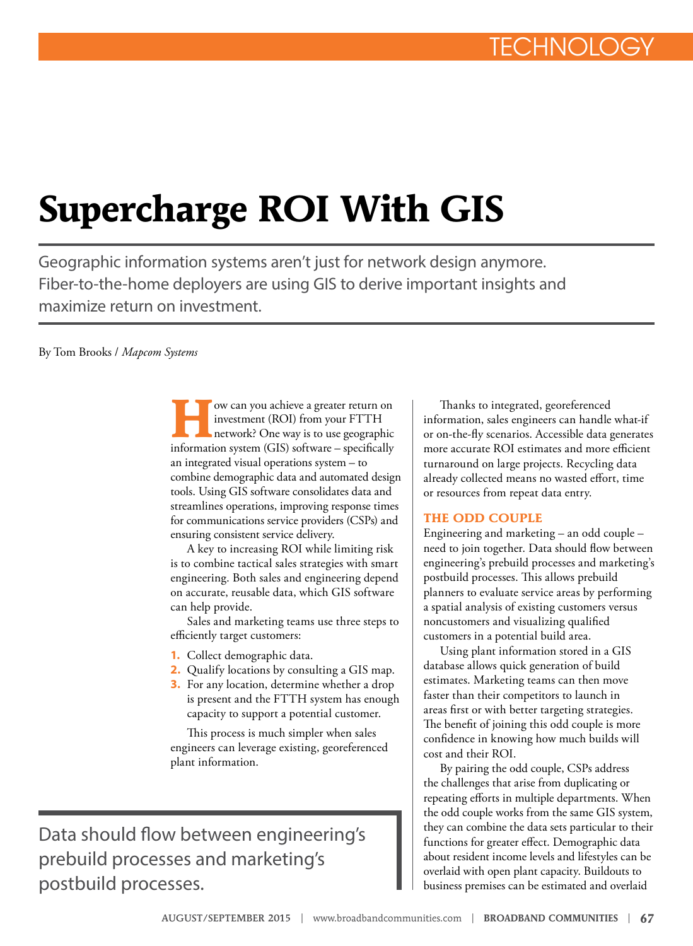## **Supercharge ROI With GIS**

Geographic information systems aren't just for network design anymore. Fiber-to-the-home deployers are using GIS to derive important insights and maximize return on investment.

By Tom Brooks / *Mapcom Systems*

**How can you achieve a greater return on**<br>
investment (ROI) from your FTTH<br>
network? One way is to use geographic<br>
information gustan (CIS) of types a positionally investment (ROI) from your FTTH information system (GIS) software – specifically an integrated visual operations system – to combine demographic data and automated design tools. Using GIS software consolidates data and streamlines operations, improving response times for communications service providers (CSPs) and ensuring consistent service delivery.

A key to increasing ROI while limiting risk is to combine tactical sales strategies with smart engineering. Both sales and engineering depend on accurate, reusable data, which GIS software can help provide.

Sales and marketing teams use three steps to efficiently target customers:

- **1.** Collect demographic data.
- **2.** Qualify locations by consulting a GIS map.
- **3.** For any location, determine whether a drop is present and the FTTH system has enough capacity to support a potential customer.

This process is much simpler when sales engineers can leverage existing, georeferenced plant information.

Data should flow between engineering's prebuild processes and marketing's postbuild processes.

Thanks to integrated, georeferenced information, sales engineers can handle what-if or on-the-fly scenarios. Accessible data generates more accurate ROI estimates and more efficient turnaround on large projects. Recycling data already collected means no wasted effort, time or resources from repeat data entry.

## **THE ODD COUPLE**

Engineering and marketing – an odd couple – need to join together. Data should flow between engineering's prebuild processes and marketing's postbuild processes. This allows prebuild planners to evaluate service areas by performing a spatial analysis of existing customers versus noncustomers and visualizing qualified customers in a potential build area.

Using plant information stored in a GIS database allows quick generation of build estimates. Marketing teams can then move faster than their competitors to launch in areas first or with better targeting strategies. The benefit of joining this odd couple is more confidence in knowing how much builds will cost and their ROI.

By pairing the odd couple, CSPs address the challenges that arise from duplicating or repeating efforts in multiple departments. When the odd couple works from the same GIS system, they can combine the data sets particular to their functions for greater effect. Demographic data about resident income levels and lifestyles can be overlaid with open plant capacity. Buildouts to business premises can be estimated and overlaid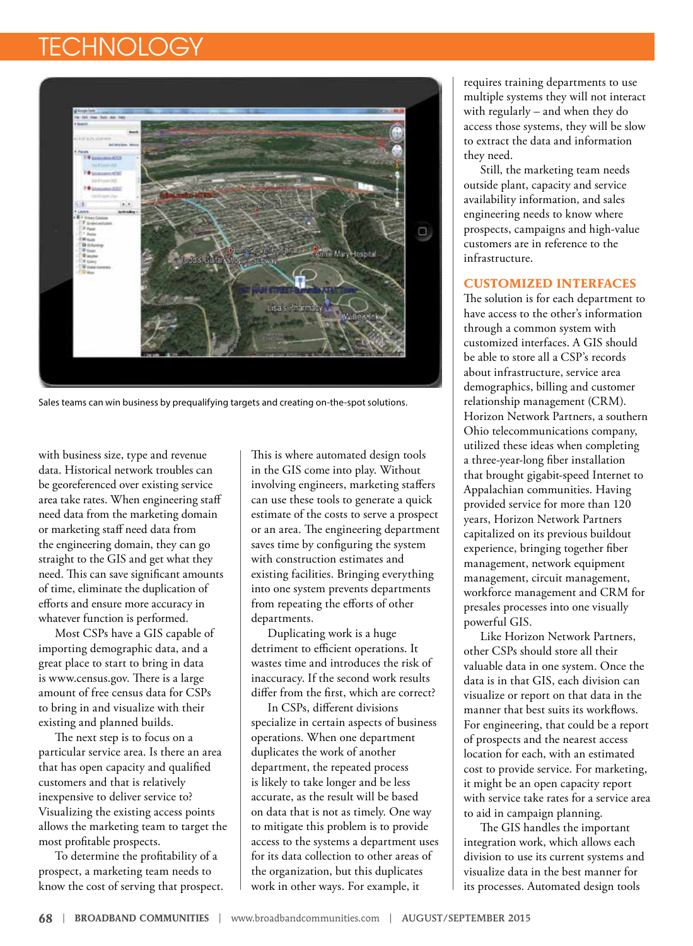## **TECHNOLOG**



Sales teams can win business by prequalifying targets and creating on-the-spot solutions.

with business size, type and revenue data. Historical network troubles can be georeferenced over existing service area take rates. When engineering staff need data from the marketing domain or marketing staff need data from the engineering domain, they can go straight to the GIS and get what they need. This can save significant amounts of time, eliminate the duplication of efforts and ensure more accuracy in whatever function is performed.

Most CSPs have a GIS capable of importing demographic data, and a great place to start to bring in data is www.census.gov. There is a large amount of free census data for CSPs to bring in and visualize with their existing and planned builds.

The next step is to focus on a particular service area. Is there an area that has open capacity and qualified customers and that is relatively inexpensive to deliver service to? Visualizing the existing access points allows the marketing team to target the most profitable prospects.

To determine the profitability of a prospect, a marketing team needs to know the cost of serving that prospect. This is where automated design tools in the GIS come into play. Without involving engineers, marketing staffers can use these tools to generate a quick estimate of the costs to serve a prospect or an area. The engineering department saves time by configuring the system with construction estimates and existing facilities. Bringing everything into one system prevents departments from repeating the efforts of other departments.

Duplicating work is a huge detriment to efficient operations. It wastes time and introduces the risk of inaccuracy. If the second work results differ from the first, which are correct?

In CSPs, different divisions specialize in certain aspects of business operations. When one department duplicates the work of another department, the repeated process is likely to take longer and be less accurate, as the result will be based on data that is not as timely. One way to mitigate this problem is to provide access to the systems a department uses for its data collection to other areas of the organization, but this duplicates work in other ways. For example, it

requires training departments to use multiple systems they will not interact with regularly – and when they do access those systems, they will be slow to extract the data and information they need.

Still, the marketing team needs outside plant, capacity and service availability information, and sales engineering needs to know where prospects, campaigns and high-value customers are in reference to the infrastructure.

## **CUSTOMIZED INTERFACES**

The solution is for each department to have access to the other's information through a common system with customized interfaces. A GIS should be able to store all a CSP's records about infrastructure, service area demographics, billing and customer relationship management (CRM). Horizon Network Partners, a southern Ohio telecommunications company, utilized these ideas when completing a three-year-long fiber installation that brought gigabit-speed Internet to Appalachian communities. Having provided service for more than 120 years, Horizon Network Partners capitalized on its previous buildout experience, bringing together fiber management, network equipment management, circuit management, workforce management and CRM for presales processes into one visually powerful GIS.

Like Horizon Network Partners, other CSPs should store all their valuable data in one system. Once the data is in that GIS, each division can visualize or report on that data in the manner that best suits its workflows. For engineering, that could be a report of prospects and the nearest access location for each, with an estimated cost to provide service. For marketing, it might be an open capacity report with service take rates for a service area to aid in campaign planning.

The GIS handles the important integration work, which allows each division to use its current systems and visualize data in the best manner for its processes. Automated design tools